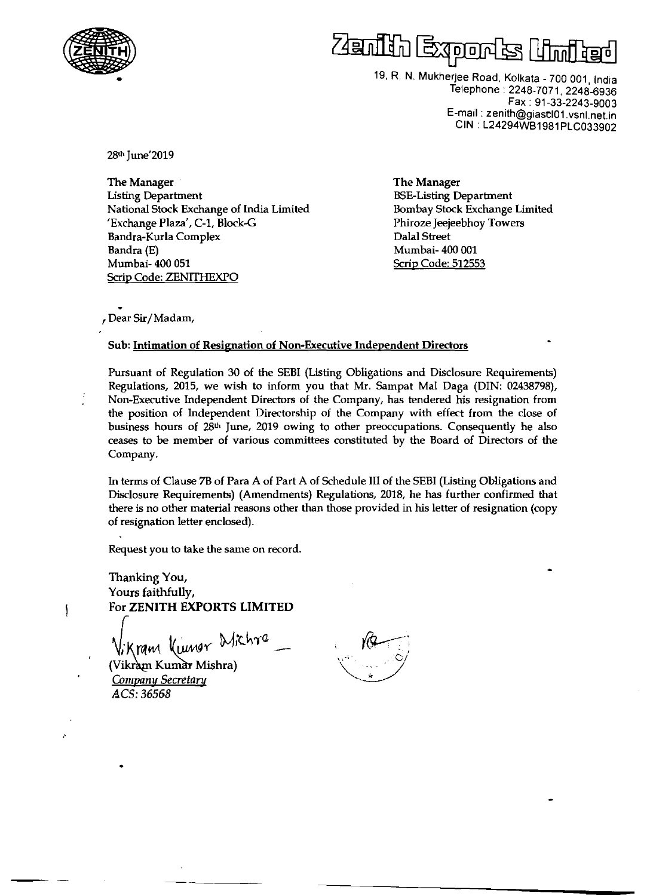



19, R. N. Mukherjee Road, Kolkata - 700 001, India Telephone: 2248-7071,2248-6936 Fax: 91-33-2243-9003 E-mail: zenith@giastI01.vsnl.netin CIN : L24294WB1981PLC033902

28th June'2019

The Manager Usting Department National Stock Exchange of India Limited 'Exchange Plaza', C-1, Block-G Bandra-Kuria Complex Bandra (E) Mumbai- 400 051 Scrip Code: ZENITHEXPO

The Manager BSE-Listing Department Bombay Stock Exchange Limited Phiroze Jeejeebhoy Towers Dalal Street Mumbai- 400 001 Scrip Code: 512553

, Dear Sir/Madam,

## Sub: Intimation of Resignation of Non-Executive Independent Directors

Pursuant of Regulation 30 of the SEBI (Listing Obligations and Disclosure Requirements) Regulations, 2015, we wish to inform you that Mr. Sampat Mal Daga (DIN: 02438798), Non-Executive Independent Directors of the Company, has tendered his resignation from the position of Independent Directorship of the Company with effect from the close of business hours of 28th June, 2019 owing to other preoccupations. Consequently he also ceases to be member of various committees constituted by the Board of Directors of the Company.

In terms of Clause 7B of Para A of Part A of Schedule III of the SEBI (Usting Obligations and Disclosure Requirements) (Amendments) Regulations, 2018, he has further confirmed that there is no other material reasons other than those provided in his letter of resignation (copy of resignation letter enclosed).

Request you to take the same on record.

Thanking You, Yours faithfully, For **ZENITH EXPORTS LIMITED** 

Vikram Kungr Wichra<br>(Vikram Kumar Mishra)

*Company Secretary*  ~CS:36568

١